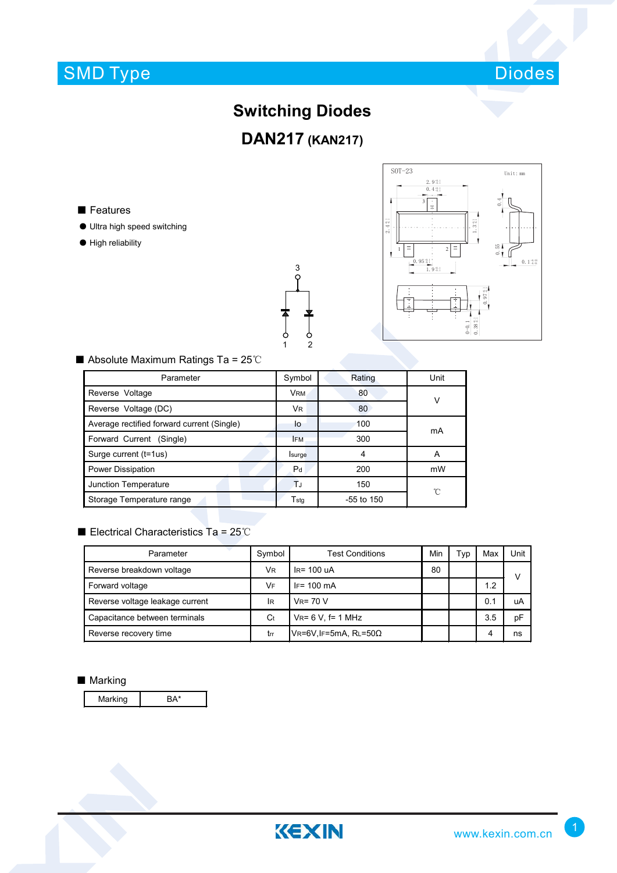# SMD Type



### **Switching Diodes**

**DAN217 (KAN217)**

■ Features

- Ultra high speed switching
- High reliability





#### ■ Absolute Maximum Ratings Ta = 25℃

| Parameter                                  | Symbol         | Rating       | Unit         |  |
|--------------------------------------------|----------------|--------------|--------------|--|
| Reverse Voltage                            | VRM.           | 80           | v            |  |
| Reverse Voltage (DC)                       | <b>VR</b>      | 80           |              |  |
| Average rectified forward current (Single) | lo             | 100          | mA           |  |
| Forward Current (Single)                   | <b>IFM</b>     | 300          |              |  |
| Surge current (t=1us)                      | Isurge         |              | А            |  |
| Power Dissipation                          | P <sub>d</sub> | 200          | mW           |  |
| Junction Temperature                       | TJ             | 150          | $^{\circ}$ C |  |
| Storage Temperature range                  | Tstg           | $-55$ to 150 |              |  |

#### ■ Electrical Characteristics Ta = 25℃

| Parameter                       | Symbol    | <b>Test Conditions</b>           | Min | 'yp | Max | Unit   |
|---------------------------------|-----------|----------------------------------|-----|-----|-----|--------|
| Reverse breakdown voltage       | <b>VR</b> | $IR = 100uA$                     | 80  |     |     | $\vee$ |
| Forward voltage                 | VF        | $IF = 100 \text{ mA}$            |     |     | 1.2 |        |
| Reverse voltage leakage current | IR        | $V_R = 70 V$                     |     |     | 0.1 | uA     |
| Capacitance between terminals   | Ct        | $V_R = 6 V$ . f= 1 MHz           |     |     | 3.5 | pF     |
| Reverse recovery time           | trr       | $V$ R=6V, IF=5mA, RL=50 $\Omega$ |     |     | 4   | ns     |

#### ■ Marking

Marking BA\*